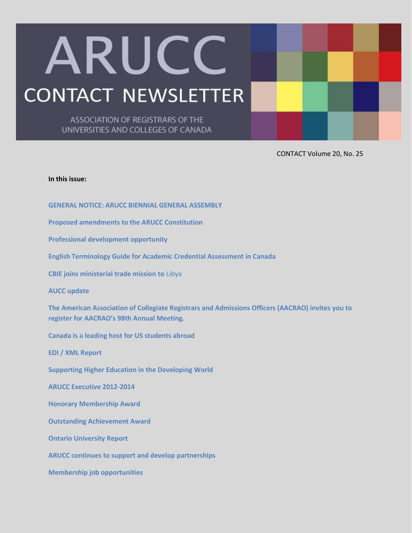# ARUCC **CONTACT NEWSLETTER**

ASSOCIATION OF REGISTRARS OF THE UNIVERSITIES AND COLLEGES OF CANADA

CONTACT Volume 20, No. 25

#### **In this issue:**

**[GENERAL NOTICE: ARUCC BIENNIAL GENERAL ASSEMBLY](#page-1-0)**

**[Proposed amendments to the ARUCC Constitution](#page-2-0)**

**[Professional development opportunity](#page-3-0)**

**[English Terminology Guide for Academic Credential Assessment in Canada](#page-4-0)**

**[CBIE joins ministerial trade mission to](#page-4-1)** Libya

**[AUCC update](#page-5-0)**

**[The American Association of Collegiate Registrars and Admissions Officers \(AACRAO\) invites](#page-5-1) you to [register for AACRAO's 98](#page-5-1)th Annual Meeting.**

**[Canada is a leading host for US students abroad](#page-5-2)**

**[EDI / XML Report](#page-6-0)**

**[Supporting Higher Education in the Developing World](#page-8-0)**

**[ARUCC Executive 2012-2014](#page-9-0)**

**[Honorary Membership Award](#page-10-0)**

**[Outstanding Achievement Award](#page-10-1)**

**[Ontario University Report](#page-11-0)**

**[ARUCC continues to support and develop partnerships](#page-12-0)**

**[Membership job opportunities](#page-12-1)**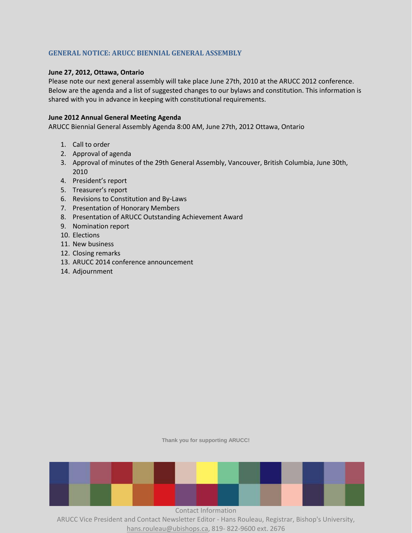# <span id="page-1-0"></span>**GENERAL NOTICE: ARUCC BIENNIAL GENERAL ASSEMBLY**

## **June 27, 2012, Ottawa, Ontario**

Please note our next general assembly will take place June 27th, 2010 at the ARUCC 2012 conference. Below are the agenda and a list of suggested changes to our bylaws and constitution. This information is shared with you in advance in keeping with constitutional requirements.

#### **June 2012 Annual General Meeting Agenda**

ARUCC Biennial General Assembly Agenda 8:00 AM, June 27th, 2012 Ottawa, Ontario

- 1. Call to order
- 2. Approval of agenda
- 3. Approval of minutes of the 29th General Assembly, Vancouver, British Columbia, June 30th, 2010
- 4. President's report
- 5. Treasurer's report
- 6. Revisions to Constitution and By-Laws
- 7. Presentation of Honorary Members
- 8. Presentation of ARUCC Outstanding Achievement Award
- 9. Nomination report
- 10. Elections
- 11. New business
- 12. Closing remarks
- 13. ARUCC 2014 conference announcement
- 14. Adjournment

**Thank you for supporting ARUCC!**

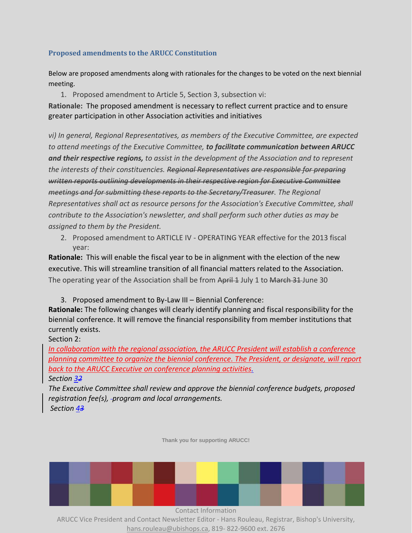# <span id="page-2-0"></span>**Proposed amendments to the ARUCC Constitution**

Below are proposed amendments along with rationales for the changes to be voted on the next biennial meeting.

1. Proposed amendment to Article 5, Section 3, subsection vi:

**Rationale:** The proposed amendment is necessary to reflect current practice and to ensure greater participation in other Association activities and initiatives

*vi) In general, Regional Representatives, as members of the Executive Committee, are expected to attend meetings of the Executive Committee, to facilitate communication between ARUCC and their respective regions, to assist in the development of the Association and to represent the interests of their constituencies. Regional Representatives are responsible for preparing written reports outlining developments in their respective region for Executive Committee meetings and for submitting these reports to the Secretary/Treasurer. The Regional Representatives shall act as resource persons for the Association's Executive Committee, shall contribute to the Association's newsletter, and shall perform such other duties as may be assigned to them by the President.*

2. Proposed amendment to ARTICLE IV - OPERATING YEAR effective for the 2013 fiscal year:

**Rationale:** This will enable the fiscal year to be in alignment with the election of the new executive. This will streamline transition of all financial matters related to the Association. The operating year of the Association shall be from April 1 July 1 to March 31 June 30

3. Proposed amendment to By-Law III – Biennial Conference:

**Rationale:** The following changes will clearly identify planning and fiscal responsibility for the biennial conference. It will remove the financial responsibility from member institutions that currently exists.

Section 2:

*In collaboration with the regional association, the ARUCC President will establish a conference planning committee to organize the biennial conference. The President, or designate, will report back to the ARUCC Executive on conference planning activities. Section 32*

*The Executive Committee shall review and approve the biennial conference budgets, proposed registration fee(s), program and local arrangements. Section 43*

**Thank you for supporting ARUCC!**

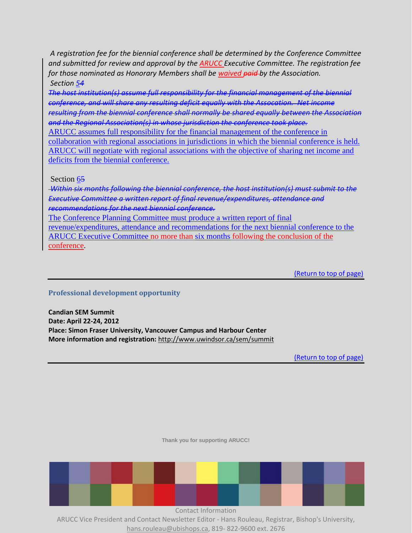*A registration fee for the biennial conference shall be determined by the Conference Committee and submitted for review and approval by the ARUCC Executive Committee. The registration fee for those nominated as Honorary Members shall be waived paid by the Association. Section 54*

*The host institution(s) assume full responsibility for the financial management of the biennial conference, and will share any resulting deficit equally with the Assocation. Net income resulting from the biennial conference shall normally be shared equally between the Association and the Regional Association(s) in whose jurisdiction the conference took place.* 

ARUCC assumes full responsibility for the financial management of the conference in collaboration with regional associations in jurisdictions in which the biennial conference is held. ARUCC will negotiate with regional associations with the objective of sharing net income and deficits from the biennial conference.

Section 65

*Within six months following the biennial conference, the host institution(s) must submit to the Executive Committee a written report of final revenue/expenditures, attendance and recommendations for the next biennial conference.* 

The Conference Planning Committee must produce a written report of final revenue/expenditures, attendance and recommendations for the next biennial conference to the ARUCC Executive Committee no more than six months following the conclusion of the conference.

(Return to top of page)

# <span id="page-3-0"></span>**Professional development opportunity**

**Candian SEM Summit Date: April 22-24, 2012 Place: Simon Fraser University, Vancouver Campus and Harbour Center More information and registration:** <http://www.uwindsor.ca/sem/summit>

(Return to top of page)

**Thank you for supporting ARUCC!**

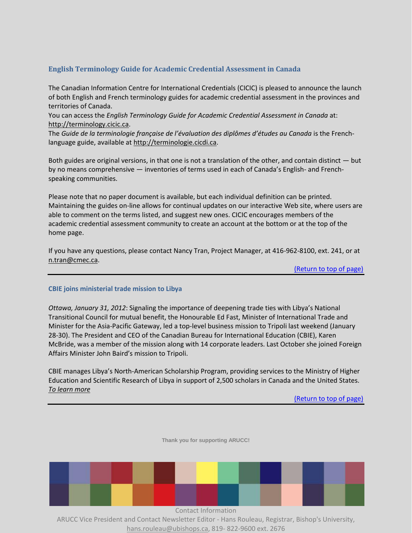# <span id="page-4-0"></span>**English Terminology Guide for Academic Credential Assessment in Canada**

The Canadian Information Centre for International Credentials (CICIC) is pleased to announce the launch of both English and French terminology guides for academic credential assessment in the provinces and territories of Canada.

You can access the *English Terminology Guide for Academic Credential Assessment in Canada* at: [http://terminology.cicic.ca.](http://terminology.cicic.ca/)

The *Guide de la terminologie française de l'évaluation des diplômes d'études au Canada* is the Frenchlanguage guide, available at [http://terminologie.cicdi.ca.](http://terminologie.cicdi.ca/)

Both guides are original versions, in that one is not a translation of the other, and contain distinct — but by no means comprehensive — inventories of terms used in each of Canada's English- and Frenchspeaking communities.

Please note that no paper document is available, but each individual definition can be printed. Maintaining the guides on-line allows for continual updates on our interactive Web site, where users are able to comment on the terms listed, and suggest new ones. CICIC encourages members of the academic credential assessment community to create an account at the bottom or at the top of the home page.

If you have any questions, please contact Nancy Tran, Project Manager, at 416-962-8100, ext. 241, or at [n.tran@cmec.ca.](mailto:n.tran@cmec.ca)

(Return to top of page)

# <span id="page-4-1"></span>**CBIE joins ministerial trade mission to Libya**

*Ottawa, January 31, 2012*: Signaling the importance of deepening trade ties with Libya's National Transitional Council for mutual benefit, the Honourable Ed Fast, Minister of International Trade and Minister for the Asia-Pacific Gateway, led a top-level business mission to Tripoli last weekend (January 28-30). The President and CEO of the Canadian Bureau for International Education (CBIE), Karen McBride, was a member of the mission along with 14 corporate leaders. Last October she joined Foreign Affairs Minister John Baird's mission to Tripoli.

CBIE manages Libya's North-American Scholarship Program, providing services to the Ministry of Higher Education and Scientific Research of Libya in support of 2,500 scholars in Canada and the United States. *[To learn more](http://www.cbie.ca/index_e.htm)*

(Return to top of page)



hans.rouleau@ubishops.ca, 819- 822-9600 ext. 2676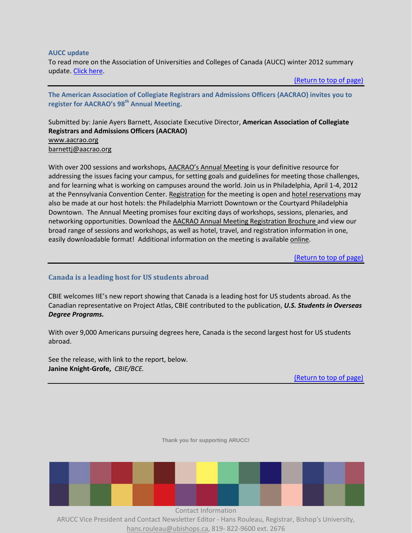#### <span id="page-5-0"></span>**AUCC update**

To read more on the Association of Universities and Colleges of Canada (AUCC) winter 2012 summary update. [Click here.](http://www.arucc.ca/documents/ContactArchive/Vol20No25/AUCCUpdateJan2012.pdf)

(Return to top of page)

<span id="page-5-1"></span>**The American Association of Collegiate Registrars and Admissions Officers (AACRAO) invites you to register for AACRAO's 98th Annual Meeting.**

Submitted by: Janie Ayers Barnett, Associate Executive Director, **American Association of Collegiate Registrars and Admissions Officers (AACRAO)** [www.aacrao.org](http://www.aacrao.org/) [barnettj@aacrao.org](mailto:barnettj@aacrao.org)

With over 200 sessions and workshops, [AACRAO's Annual Meeting](http://www.aacrao.org/meetings/2012AnnualMeeting.aspx#.Tx625vmOduw) is your definitive resource for addressing the issues facing your campus, for setting goals and guidelines for meeting those challenges, and for learning what is working on campuses around the world. Join us in Philadelphia, April 1-4, 2012 at the Pennsylvania Convention Center. [Registration](http://www.aacrao.org/meetings/2012AnnualMeeting/MeetingRegistration.aspx#.Tx63HfmOduw) for the meeting is open and [hotel reservations](http://www.aacrao.org/meetings/2012AnnualMeeting/Hotel.aspx#.Tx64AvmOduw) may also be made at our host hotels: the Philadelphia Marriott Downtown or the Courtyard Philadelphia Downtown. The Annual Meeting promises four exciting days of workshops, sessions, plenaries, and networking opportunities. Download the [AACRAO Annual Meeting Registration Brochure](http://www.aacrao.org/meetings/2012AnnualMeeting/Program/RegBrochure.aspx) and view our broad range of sessions and workshops, as well as hotel, travel, and registration information in one, easily downloadable format! Additional information on the meeting is available [online.](http://www.aacrao.org/meetings/2012AnnualMeeting.aspx)

(Return to top of page)

# <span id="page-5-2"></span>**Canada is a leading host for US students abroad**

CBIE welcomes IIE's new report showing that Canada is a leading host for US students abroad. As the Canadian representative on Project Atlas, CBIE contributed to the publication, *U.S. Students in Overseas Degree Programs.*

With over 9,000 Americans pursuing degrees here, Canada is the second largest host for US students abroad.

See the release, with link to the report, below. **Janine Knight-Grofe,** *CBIE/BCE.*

(Return to top of page)



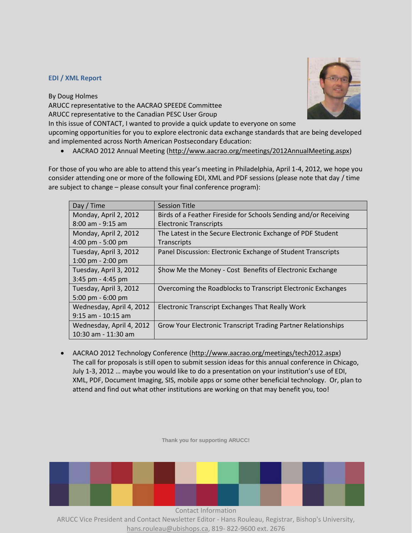#### <span id="page-6-0"></span>**EDI / XML Report**

By Doug Holmes

ARUCC representative to the AACRAO SPEEDE Committee

ARUCC representative to the Canadian PESC User Group

In this issue of CONTACT, I wanted to provide a quick update to everyone on some

upcoming opportunities for you to explore electronic data exchange standards that are being developed and implemented across North American Postsecondary Education:

• AACRAO 2012 Annual Meeting [\(http://www.aacrao.org/meetings/2012AnnualMeeting.aspx\)](http://www.aacrao.org/meetings/2012AnnualMeeting.aspx)

For those of you who are able to attend this year's meeting in Philadelphia, April 1-4, 2012, we hope you consider attending one or more of the following EDI, XML and PDF sessions (please note that day / time are subject to change – please consult your final conference program):

| Day / Time               | <b>Session Title</b>                                             |
|--------------------------|------------------------------------------------------------------|
| Monday, April 2, 2012    | Birds of a Feather Fireside for Schools Sending and/or Receiving |
| $8:00$ am - 9:15 am      | <b>Electronic Transcripts</b>                                    |
| Monday, April 2, 2012    | The Latest in the Secure Electronic Exchange of PDF Student      |
| 4:00 pm $-5:00$ pm       | Transcripts                                                      |
| Tuesday, April 3, 2012   | Panel Discussion: Electronic Exchange of Student Transcripts     |
| 1:00 pm $-$ 2:00 pm      |                                                                  |
| Tuesday, April 3, 2012   | \$how Me the Money - Cost Benefits of Electronic Exchange        |
| 3:45 pm - 4:45 pm        |                                                                  |
| Tuesday, April 3, 2012   | Overcoming the Roadblocks to Transcript Electronic Exchanges     |
| 5:00 pm $-6:00$ pm       |                                                                  |
| Wednesday, April 4, 2012 | Electronic Transcript Exchanges That Really Work                 |
| $9:15$ am - 10:15 am     |                                                                  |
| Wednesday, April 4, 2012 | Grow Your Electronic Transcript Trading Partner Relationships    |
| 10:30 am - 11:30 am      |                                                                  |

 AACRAO 2012 Technology Conference [\(http://www.aacrao.org/meetings/tech2012.aspx\)](http://www.aacrao.org/meetings/tech2012.aspx) The call for proposals is still open to submit session ideas for this annual conference in Chicago, July 1-3, 2012 … maybe you would like to do a presentation on your institution's use of EDI, XML, PDF, Document Imaging, SIS, mobile apps or some other beneficial technology. Or, plan to attend and find out what other institutions are working on that may benefit you, too!

**Thank you for supporting ARUCC!**



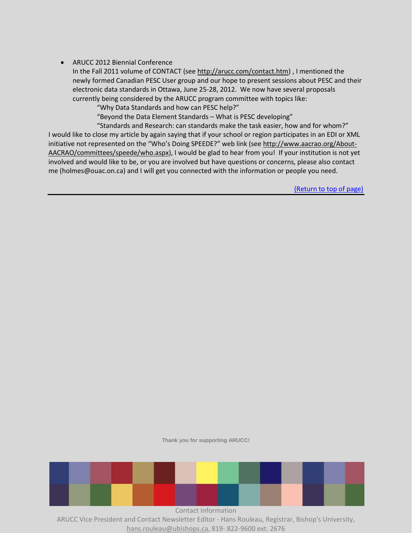# ARUCC 2012 Biennial Conference

In the Fall 2011 volume of CONTACT (see [http://arucc.com/contact.htm\)](http://arucc.com/contact.htm) , I mentioned the newly formed Canadian PESC User group and our hope to present sessions about PESC and their electronic data standards in Ottawa, June 25-28, 2012. We now have several proposals currently being considered by the ARUCC program committee with topics like:

"Why Data Standards and how can PESC help?"

"Beyond the Data Element Standards – What is PESC developing"

"Standards and Research: can standards make the task easier, how and for whom?" I would like to close my article by again saying that if your school or region participates in an EDI or XML initiative not represented on the "Who's Doing SPEEDE?" web link (see [http://www.aacrao.org/About-](http://www.aacrao.org/About-AACRAO/committees/speede/who.aspx)[AACRAO/committees/speede/who.aspx\)](http://www.aacrao.org/About-AACRAO/committees/speede/who.aspx), I would be glad to hear from you! If your institution is not yet involved and would like to be, or you are involved but have questions or concerns, please also contact me (holmes@ouac.on.ca) and I will get you connected with the information or people you need.

(Return to top of page)

**Thank you for supporting ARUCC!**



hans.rouleau@ubishops.ca, 819- 822-9600 ext. 2676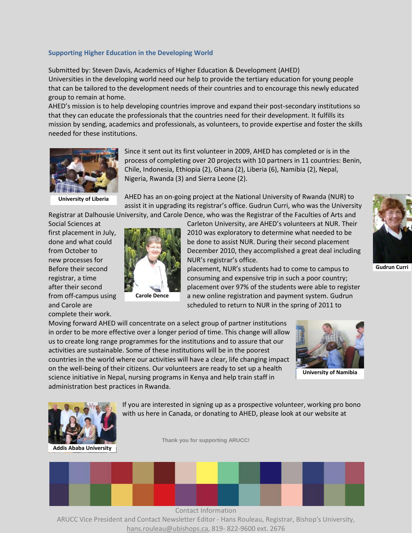#### <span id="page-8-0"></span>**Supporting Higher Education in the Developing World**

Submitted by: Steven Davis, Academics of Higher Education & Development (AHED) Universities in the developing world need our help to provide the tertiary education for young people that can be tailored to the development needs of their countries and to encourage this newly educated group to remain at home.

AHED's mission is to help developing countries improve and expand their post-secondary institutions so that they can educate the professionals that the countries need for their development. It fulfills its mission by sending, academics and professionals, as volunteers, to provide expertise and foster the skills needed for these institutions.



Since it sent out its first volunteer in 2009, AHED has completed or is in the process of completing over 20 projects with 10 partners in 11 countries: Benin, Chile, Indonesia, Ethiopia (2), Ghana (2), Liberia (6), Namibia (2), Nepal, Nigeria, Rwanda (3) and Sierra Leone (2).

**University of Liberia**

AHED has an on-going project at the National University of Rwanda (NUR) to assist it in upgrading its registrar's office. Gudrun Curri, who was the University Registrar at Dalhousie University, and Carole Dence, who was the Registrar of the Faculties of Arts and

Social Sciences at Carleton University, are AHED's volunteers at NUR. Their complete their work.



**Carole Dence**

first placement in July, 2010 was exploratory to determine what needed to be done and what could **be done to assist NUR. During their second placement** from October to December 2010, they accomplished a great deal including new processes for NUR's registrar's office.

Before their second placement, NUR's students had to come to campus to registrar, a time consuming and expensive trip in such a poor country; after their second placement over 97% of the students were able to register from off-campus using carole Dence a new online registration and payment system. Gudrun and Carole are scheduled to return to NUR in the spring of 2011 to



**Gudrun Curri**

Moving forward AHED will concentrate on a select group of partner institutions in order to be more effective over a longer period of time. This change will allow us to create long range programmes for the institutions and to assure that our activities are sustainable. Some of these institutions will be in the poorest countries in the world where our activities will have a clear, life changing impact on the well-being of their citizens. Our volunteers are ready to set up a health science initiative in Nepal, nursing programs in Kenya and help train staff in administration best practices in Rwanda.



**University of Namibia**



If you are interested in signing up as a prospective volunteer, working pro bono with us here in Canada, or donating to AHED, please look at our website at

**Thank you for supporting ARUCC!**

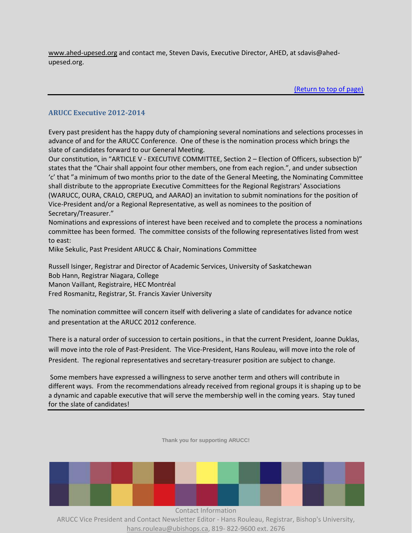[www.ahed-upesed.org](http://www.ahed-upesed.org/) and contact me, Steven Davis, Executive Director, AHED, at sdavis@ahedupesed.org.

(Return to top of page)

# <span id="page-9-0"></span>**ARUCC Executive 2012-2014**

Every past president has the happy duty of championing several nominations and selections processes in advance of and for the ARUCC Conference. One of these is the nomination process which brings the slate of candidates forward to our General Meeting.

Our constitution, in "ARTICLE V - EXECUTIVE COMMITTEE, Section 2 – Election of Officers, subsection b)" states that the "Chair shall appoint four other members, one from each region.", and under subsection 'c' that "a minimum of two months prior to the date of the General Meeting, the Nominating Committee shall distribute to the appropriate Executive Committees for the Regional Registrars' Associations (WARUCC, OURA, CRALO, CREPUQ, and AARAO) an invitation to submit nominations for the position of Vice-President and/or a Regional Representative, as well as nominees to the position of Secretary/Treasurer."

Nominations and expressions of interest have been received and to complete the process a nominations committee has been formed. The committee consists of the following representatives listed from west to east:

Mike Sekulic, Past President ARUCC & Chair, Nominations Committee

Russell Isinger, Registrar and Director of Academic Services, University of Saskatchewan Bob Hann, Registrar Niagara, College Manon Vaillant, Registraire, HEC Montréal Fred Rosmanitz, Registrar, St. Francis Xavier University

The nomination committee will concern itself with delivering a slate of candidates for advance notice and presentation at the ARUCC 2012 conference.

There is a natural order of succession to certain positions., in that the current President, Joanne Duklas, will move into the role of Past-President. The Vice-President, Hans Rouleau, will move into the role of President. The regional representatives and secretary-treasurer position are subject to change.

Some members have expressed a willingness to serve another term and others will contribute in different ways. From the recommendations already received from regional groups it is shaping up to be a dynamic and capable executive that will serve the membership well in the coming years. Stay tuned for the slate of candidates!

**Thank you for supporting ARUCC!**

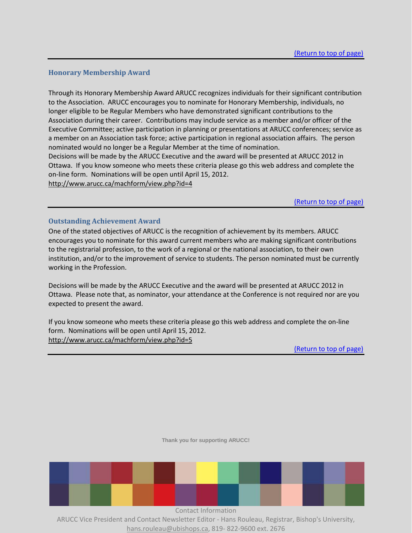## <span id="page-10-0"></span>**Honorary Membership Award**

Through its Honorary Membership Award ARUCC recognizes individuals for their significant contribution to the Association. ARUCC encourages you to nominate for Honorary Membership, individuals, no longer eligible to be Regular Members who have demonstrated significant contributions to the Association during their career. Contributions may include service as a member and/or officer of the Executive Committee; active participation in planning or presentations at ARUCC conferences; service as a member on an Association task force; active participation in regional association affairs. The person nominated would no longer be a Regular Member at the time of nomination. Decisions will be made by the ARUCC Executive and the award will be presented at ARUCC 2012 in

Ottawa. If you know someone who meets these criteria please go this web address and complete the on-line form. Nominations will be open until April 15, 2012.

<http://www.arucc.ca/machform/view.php?id=4>

(Return to top of page)

#### <span id="page-10-1"></span>**Outstanding Achievement Award**

One of the stated objectives of ARUCC is the recognition of achievement by its members. ARUCC encourages you to nominate for this award current members who are making significant contributions to the registrarial profession, to the work of a regional or the national association, to their own institution, and/or to the improvement of service to students. The person nominated must be currently working in the Profession.

Decisions will be made by the ARUCC Executive and the award will be presented at ARUCC 2012 in Ottawa. Please note that, as nominator, your attendance at the Conference is not required nor are you expected to present the award.

If you know someone who meets these criteria please go this web address and complete the on-line form. Nominations will be open until April 15, 2012. <http://www.arucc.ca/machform/view.php?id=5>

(Return to top of page)

**Thank you for supporting ARUCC!**

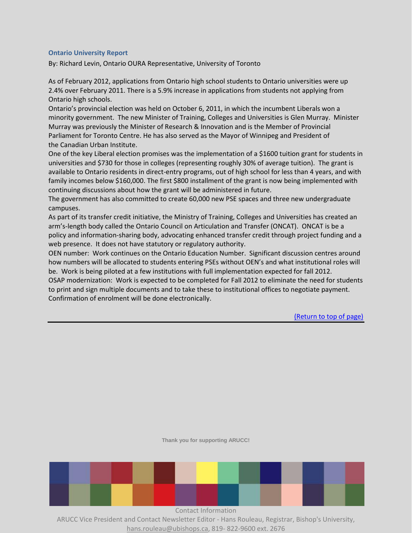#### <span id="page-11-0"></span>**Ontario University Report**

By: Richard Levin, Ontario OURA Representative, University of Toronto

As of February 2012, applications from Ontario high school students to Ontario universities were up 2.4% over February 2011. There is a 5.9% increase in applications from students not applying from Ontario high schools.

Ontario's provincial election was held on October 6, 2011, in which the incumbent Liberals won a minority government. The new Minister of Training, Colleges and Universities is Glen Murray. Minister Murray was previously the Minister of Research & Innovation and is the Member of Provincial Parliament for Toronto Centre. He has also served as the Mayor of Winnipeg and President of the [Canadian Urban Institute.](http://www.canurb.com/)

One of the key Liberal election promises was the implementation of a \$1600 tuition grant for students in universities and \$730 for those in colleges (representing roughly 30% of average tuition). The grant is available to Ontario residents in direct-entry programs, out of high school for less than 4 years, and with family incomes below \$160,000. The first \$800 installment of the grant is now being implemented with continuing discussions about how the grant will be administered in future.

The government has also committed to create 60,000 new PSE spaces and three new undergraduate campuses.

As part of its transfer credit initiative, the Ministry of Training, Colleges and Universities has created an arm's-length body called the Ontario Council on Articulation and Transfer (ONCAT). ONCAT is be a policy and information-sharing body, advocating enhanced transfer credit through project funding and a web presence. It does not have statutory or regulatory authority.

OEN number: Work continues on the Ontario Education Number. Significant discussion centres around how numbers will be allocated to students entering PSEs without OEN's and what institutional roles will be. Work is being piloted at a few institutions with full implementation expected for fall 2012.

OSAP modernization: Work is expected to be completed for Fall 2012 to eliminate the need for students to print and sign multiple documents and to take these to institutional offices to negotiate payment. Confirmation of enrolment will be done electronically.

(Return to top of page)

**Thank you for supporting ARUCC!**